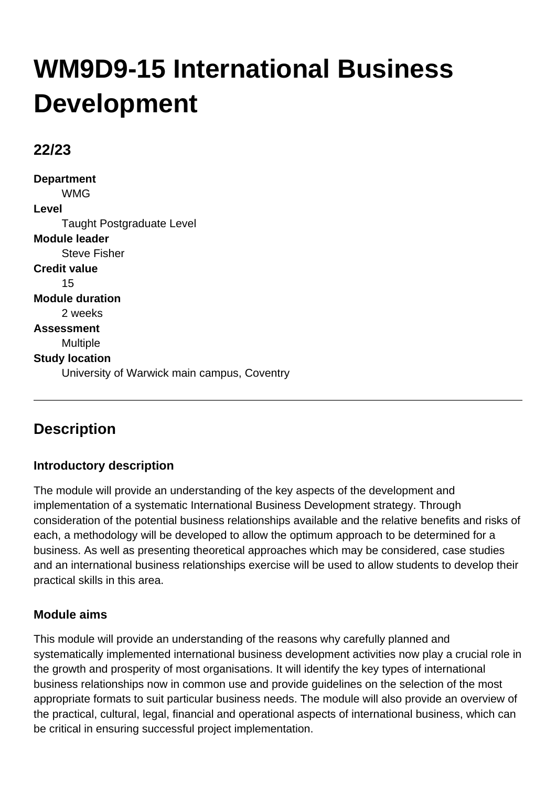# **WM9D9-15 International Business Development**

## **22/23**

**Department** WMG **Level** Taught Postgraduate Level **Module leader** Steve Fisher **Credit value** 15 **Module duration** 2 weeks **Assessment** Multiple **Study location** University of Warwick main campus, Coventry

## **Description**

## **Introductory description**

The module will provide an understanding of the key aspects of the development and implementation of a systematic International Business Development strategy. Through consideration of the potential business relationships available and the relative benefits and risks of each, a methodology will be developed to allow the optimum approach to be determined for a business. As well as presenting theoretical approaches which may be considered, case studies and an international business relationships exercise will be used to allow students to develop their practical skills in this area.

## **Module aims**

This module will provide an understanding of the reasons why carefully planned and systematically implemented international business development activities now play a crucial role in the growth and prosperity of most organisations. It will identify the key types of international business relationships now in common use and provide guidelines on the selection of the most appropriate formats to suit particular business needs. The module will also provide an overview of the practical, cultural, legal, financial and operational aspects of international business, which can be critical in ensuring successful project implementation.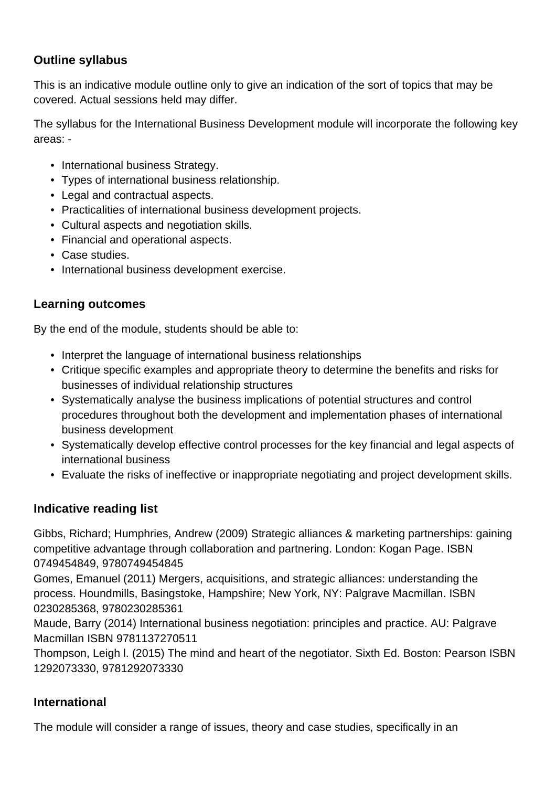## **Outline syllabus**

This is an indicative module outline only to give an indication of the sort of topics that may be covered. Actual sessions held may differ.

The syllabus for the International Business Development module will incorporate the following key areas: -

- International business Strategy.
- Types of international business relationship.
- Legal and contractual aspects.
- Practicalities of international business development projects.
- Cultural aspects and negotiation skills.
- Financial and operational aspects.
- Case studies.
- International business development exercise.

### **Learning outcomes**

By the end of the module, students should be able to:

- Interpret the language of international business relationships
- Critique specific examples and appropriate theory to determine the benefits and risks for businesses of individual relationship structures
- Systematically analyse the business implications of potential structures and control procedures throughout both the development and implementation phases of international business development
- Systematically develop effective control processes for the key financial and legal aspects of international business
- Evaluate the risks of ineffective or inappropriate negotiating and project development skills.

### **Indicative reading list**

Gibbs, Richard; Humphries, Andrew (2009) Strategic alliances & marketing partnerships: gaining competitive advantage through collaboration and partnering. London: Kogan Page. ISBN 0749454849, 9780749454845

Gomes, Emanuel (2011) Mergers, acquisitions, and strategic alliances: understanding the process. Houndmills, Basingstoke, Hampshire; New York, NY: Palgrave Macmillan. ISBN 0230285368, 9780230285361

Maude, Barry (2014) International business negotiation: principles and practice. AU: Palgrave Macmillan ISBN 9781137270511

Thompson, Leigh l. (2015) The mind and heart of the negotiator. Sixth Ed. Boston: Pearson ISBN 1292073330, 9781292073330

### **International**

The module will consider a range of issues, theory and case studies, specifically in an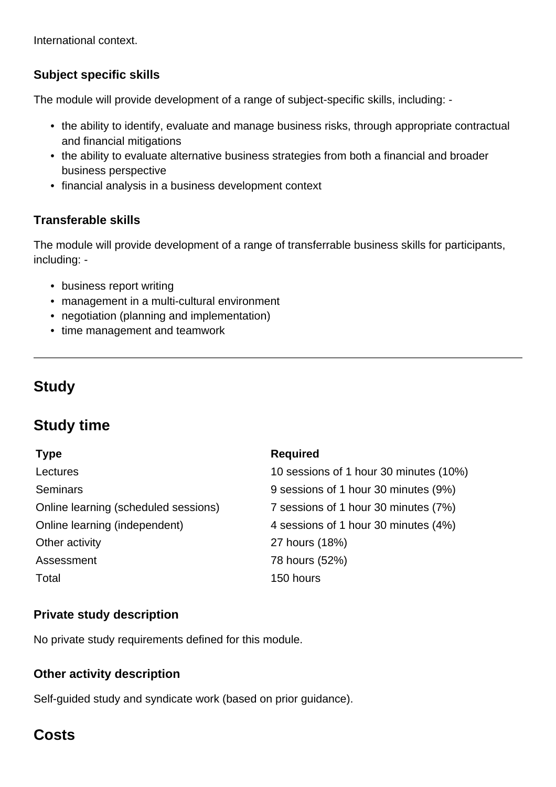International context.

## **Subject specific skills**

The module will provide development of a range of subject-specific skills, including: -

- the ability to identify, evaluate and manage business risks, through appropriate contractual and financial mitigations
- the ability to evaluate alternative business strategies from both a financial and broader business perspective
- financial analysis in a business development context

## **Transferable skills**

The module will provide development of a range of transferrable business skills for participants, including: -

- business report writing
- management in a multi-cultural environment
- negotiation (planning and implementation)
- time management and teamwork

## **Study**

## **Study time**

#### **Type Required**

|                                      | .                                      |  |
|--------------------------------------|----------------------------------------|--|
| Lectures                             | 10 sessions of 1 hour 30 minutes (10%) |  |
| <b>Seminars</b>                      | 9 sessions of 1 hour 30 minutes (9%)   |  |
| Online learning (scheduled sessions) | 7 sessions of 1 hour 30 minutes (7%)   |  |
| Online learning (independent)        | 4 sessions of 1 hour 30 minutes (4%)   |  |
| Other activity                       | 27 hours (18%)                         |  |
| Assessment                           | 78 hours (52%)                         |  |
| Total                                | 150 hours                              |  |
|                                      |                                        |  |

### **Private study description**

No private study requirements defined for this module.

### **Other activity description**

Self-guided study and syndicate work (based on prior guidance).

## **Costs**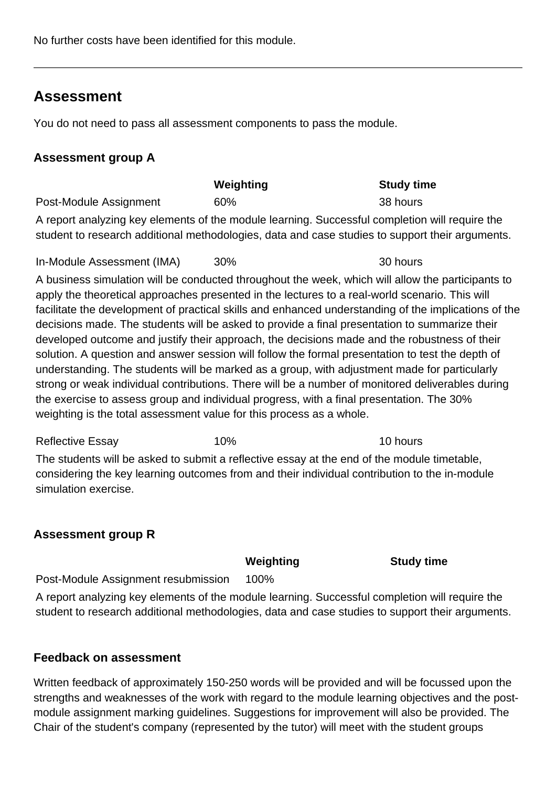No further costs have been identified for this module.

## **Assessment**

You do not need to pass all assessment components to pass the module.

## **Assessment group A**

|                                                                                                 | Weighting | <b>Study time</b> |
|-------------------------------------------------------------------------------------------------|-----------|-------------------|
| Post-Module Assignment                                                                          | 60%       | 38 hours          |
| A report analyzing key elements of the module learning. Successful completion will require the  |           |                   |
| student to research additional methodologies, data and case studies to support their arguments. |           |                   |

In-Module Assessment (IMA) 30% 30 hours

A business simulation will be conducted throughout the week, which will allow the participants to apply the theoretical approaches presented in the lectures to a real-world scenario. This will facilitate the development of practical skills and enhanced understanding of the implications of the decisions made. The students will be asked to provide a final presentation to summarize their developed outcome and justify their approach, the decisions made and the robustness of their solution. A question and answer session will follow the formal presentation to test the depth of understanding. The students will be marked as a group, with adjustment made for particularly strong or weak individual contributions. There will be a number of monitored deliverables during the exercise to assess group and individual progress, with a final presentation. The 30% weighting is the total assessment value for this process as a whole.

Reflective Essay 10% 10% 10 hours The students will be asked to submit a reflective essay at the end of the module timetable, considering the key learning outcomes from and their individual contribution to the in-module simulation exercise.

## **Assessment group R**

**Weighting Study time**

Post-Module Assignment resubmission 100%

A report analyzing key elements of the module learning. Successful completion will require the student to research additional methodologies, data and case studies to support their arguments.

### **Feedback on assessment**

Written feedback of approximately 150-250 words will be provided and will be focussed upon the strengths and weaknesses of the work with regard to the module learning objectives and the postmodule assignment marking guidelines. Suggestions for improvement will also be provided. The Chair of the student's company (represented by the tutor) will meet with the student groups